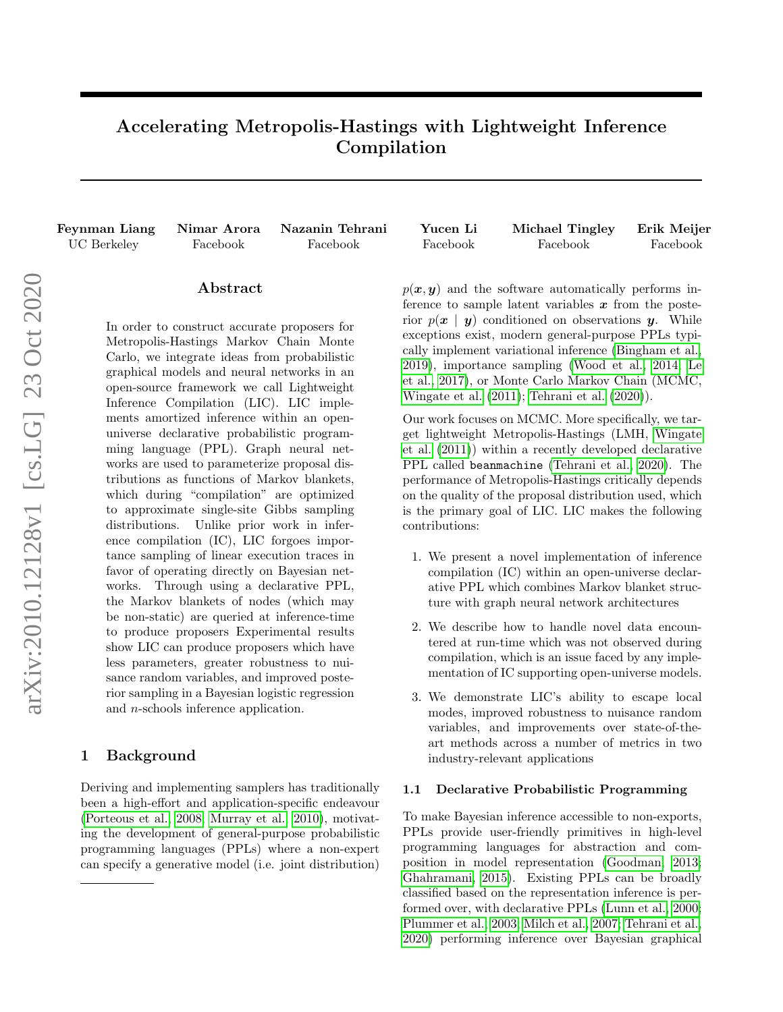# Accelerating Metropolis-Hastings with Lightweight Inference Compilation

Feynman Liang Nimar Arora Nazanin Tehrani Yucen Li Michael Tingley Erik Meijer UC Berkeley Facebook Facebook Facebook Facebook Facebook

## Abstract

In order to construct accurate proposers for Metropolis-Hastings Markov Chain Monte Carlo, we integrate ideas from probabilistic graphical models and neural networks in an open-source framework we call Lightweight Inference Compilation (LIC). LIC implements amortized inference within an openuniverse declarative probabilistic programming language (PPL). Graph neural networks are used to parameterize proposal distributions as functions of Markov blankets, which during "compilation" are optimized to approximate single-site Gibbs sampling distributions. Unlike prior work in inference compilation (IC), LIC forgoes importance sampling of linear execution traces in favor of operating directly on Bayesian networks. Through using a declarative PPL, the Markov blankets of nodes (which may be non-static) are queried at inference-time to produce proposers Experimental results show LIC can produce proposers which have less parameters, greater robustness to nuisance random variables, and improved posterior sampling in a Bayesian logistic regression and n-schools inference application.

# 1 Background

Deriving and implementing samplers has traditionally been a high-effort and application-specific endeavour [\(Porteous et al., 2008;](#page-8-0) [Murray et al., 2010\)](#page-8-1), motivating the development of general-purpose probabilistic programming languages (PPLs) where a non-expert can specify a generative model (i.e. joint distribution)

 $p(x, y)$  and the software automatically performs inference to sample latent variables  $x$  from the posterior  $p(x | y)$  conditioned on observations y. While exceptions exist, modern general-purpose PPLs typically implement variational inference [\(Bingham et al.,](#page-8-2) [2019\)](#page-8-2), importance sampling [\(Wood et al., 2014;](#page-9-0) [Le](#page-8-3) [et al., 2017\)](#page-8-3), or Monte Carlo Markov Chain (MCMC, [Wingate et al.](#page-9-1) [\(2011\)](#page-9-1); [Tehrani et al.](#page-9-2) [\(2020\)](#page-9-2)).

Our work focuses on MCMC. More specifically, we target lightweight Metropolis-Hastings (LMH, [Wingate](#page-9-1) [et al.](#page-9-1) [\(2011\)](#page-9-1)) within a recently developed declarative PPL called beanmachine [\(Tehrani et al., 2020\)](#page-9-2). The performance of Metropolis-Hastings critically depends on the quality of the proposal distribution used, which is the primary goal of LIC. LIC makes the following contributions:

- 1. We present a novel implementation of inference compilation (IC) within an open-universe declarative PPL which combines Markov blanket structure with graph neural network architectures
- 2. We describe how to handle novel data encountered at run-time which was not observed during compilation, which is an issue faced by any implementation of IC supporting open-universe models.
- 3. We demonstrate LIC's ability to escape local modes, improved robustness to nuisance random variables, and improvements over state-of-theart methods across a number of metrics in two industry-relevant applications

#### 1.1 Declarative Probabilistic Programming

To make Bayesian inference accessible to non-exports, PPLs provide user-friendly primitives in high-level programming languages for abstraction and composition in model representation [\(Goodman, 2013;](#page-8-4) [Ghahramani, 2015\)](#page-8-5). Existing PPLs can be broadly classified based on the representation inference is performed over, with declarative PPLs [\(Lunn et al., 2000;](#page-8-6) [Plummer et al., 2003;](#page-8-7) [Milch et al., 2007;](#page-8-8) [Tehrani et al.,](#page-9-2) [2020\)](#page-9-2) performing inference over Bayesian graphical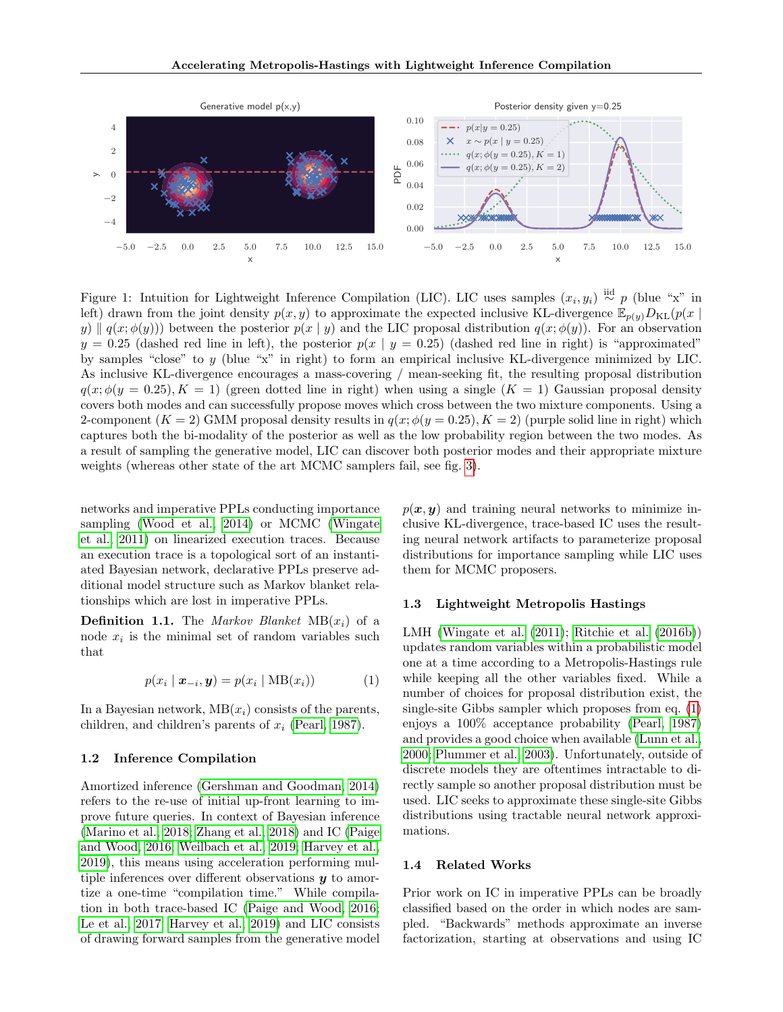<span id="page-1-1"></span>

Figure 1: Intuition for Lightweight Inference Compilation (LIC). LIC uses samples  $(x_i, y_i) \stackrel{\text{iid}}{\sim} p$  (blue "x" in left) drawn from the joint density  $p(x, y)$  to approximate the expected inclusive KL-divergence  $\mathbb{E}_{p(y)}D_{\text{KL}}(p(x))$ y)  $\| q(x; \phi(y))\|$  between the posterior  $p(x | y)$  and the LIC proposal distribution  $q(x; \phi(y))$ . For an observation  $y = 0.25$  (dashed red line in left), the posterior  $p(x | y = 0.25)$  (dashed red line in right) is "approximated" by samples "close" to y (blue "x" in right) to form an empirical inclusive KL-divergence minimized by LIC. As inclusive KL-divergence encourages a mass-covering / mean-seeking fit, the resulting proposal distribution  $q(x; \phi(y = 0.25), K = 1)$  (green dotted line in right) when using a single  $(K = 1)$  Gaussian proposal density covers both modes and can successfully propose moves which cross between the two mixture components. Using a 2-component  $(K = 2)$  GMM proposal density results in  $q(x; \phi(y = 0.25), K = 2)$  (purple solid line in right) which captures both the bi-modality of the posterior as well as the low probability region between the two modes. As a result of sampling the generative model, LIC can discover both posterior modes and their appropriate mixture weights (whereas other state of the art MCMC samplers fail, see fig. [3\)](#page-5-0).

networks and imperative PPLs conducting importance sampling [\(Wood et al., 2014\)](#page-9-0) or MCMC [\(Wingate](#page-9-1) [et al., 2011\)](#page-9-1) on linearized execution traces. Because an execution trace is a topological sort of an instantiated Bayesian network, declarative PPLs preserve additional model structure such as Markov blanket relationships which are lost in imperative PPLs.

**Definition 1.1.** The *Markov Blanket*  $MB(x_i)$  of a node  $x_i$  is the minimal set of random variables such that

$$
p(x_i | \mathbf{x}_{-i}, \mathbf{y}) = p(x_i | \text{MB}(x_i))
$$
 (1)

In a Bayesian network,  $MB(x_i)$  consists of the parents, children, and children's parents of  $x_i$  [\(Pearl, 1987\)](#page-8-9).

#### 1.2 Inference Compilation

Amortized inference [\(Gershman and Goodman, 2014\)](#page-8-10) refers to the re-use of initial up-front learning to improve future queries. In context of Bayesian inference [\(Marino et al., 2018;](#page-8-11) [Zhang et al., 2018\)](#page-9-3) and IC [\(Paige](#page-8-12) [and Wood, 2016;](#page-8-12) [Weilbach et al., 2019;](#page-9-4) [Harvey et al.,](#page-8-13) [2019\)](#page-8-13), this means using acceleration performing multiple inferences over different observations  $y$  to amortize a one-time "compilation time." While compilation in both trace-based IC [\(Paige and Wood, 2016;](#page-8-12) [Le et al., 2017;](#page-8-3) [Harvey et al., 2019\)](#page-8-13) and LIC consists of drawing forward samples from the generative model  $p(x, y)$  and training neural networks to minimize inclusive KL-divergence, trace-based IC uses the resulting neural network artifacts to parameterize proposal distributions for importance sampling while LIC uses them for MCMC proposers.

## 1.3 Lightweight Metropolis Hastings

<span id="page-1-0"></span>LMH [\(Wingate et al.](#page-9-1) [\(2011\)](#page-9-1); [Ritchie et al.](#page-9-5) [\(2016b\)](#page-9-5)) updates random variables within a probabilistic model one at a time according to a Metropolis-Hastings rule while keeping all the other variables fixed. While a number of choices for proposal distribution exist, the single-site Gibbs sampler which proposes from eq. [\(1\)](#page-1-0) enjoys a 100% acceptance probability [\(Pearl, 1987\)](#page-8-9) and provides a good choice when available [\(Lunn et al.,](#page-8-6) [2000;](#page-8-6) [Plummer et al., 2003\)](#page-8-7). Unfortunately, outside of discrete models they are oftentimes intractable to directly sample so another proposal distribution must be used. LIC seeks to approximate these single-site Gibbs distributions using tractable neural network approximations.

#### 1.4 Related Works

Prior work on IC in imperative PPLs can be broadly classified based on the order in which nodes are sampled. "Backwards" methods approximate an inverse factorization, starting at observations and using IC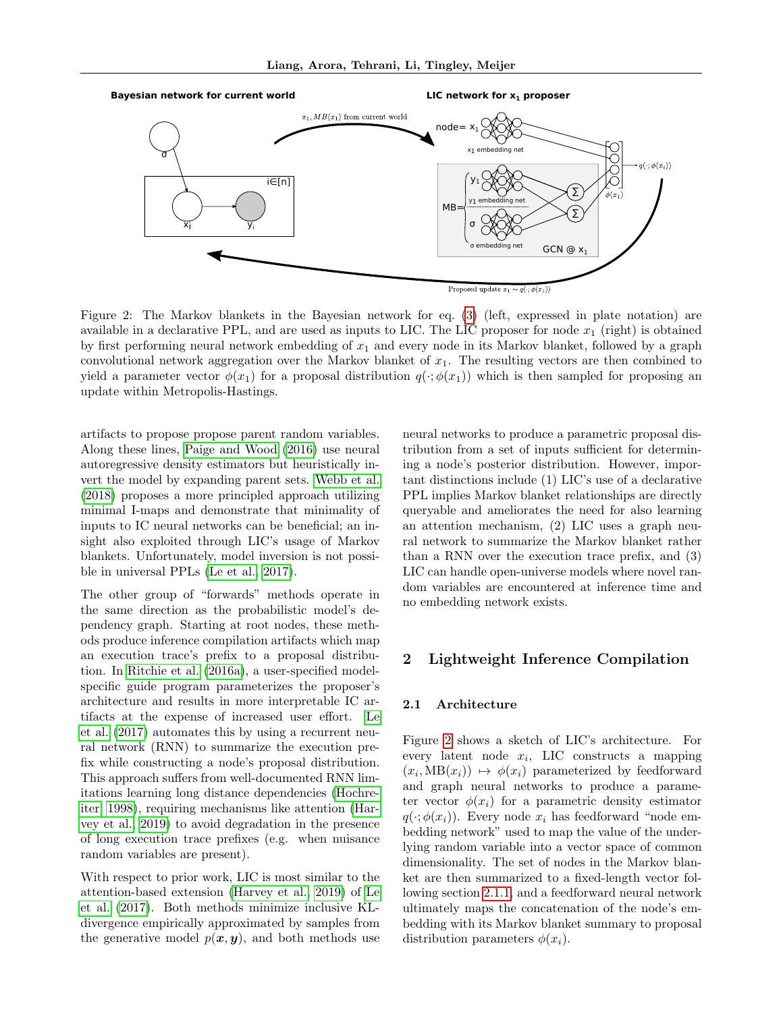<span id="page-2-0"></span>

Figure 2: The Markov blankets in the Bayesian network for eq. [\(3\)](#page-4-0) (left, expressed in plate notation) are available in a declarative PPL, and are used as inputs to LIC. The LIC proposer for node  $x_1$  (right) is obtained by first performing neural network embedding of  $x_1$  and every node in its Markov blanket, followed by a graph convolutional network aggregation over the Markov blanket of  $x_1$ . The resulting vectors are then combined to yield a parameter vector  $\phi(x_1)$  for a proposal distribution  $q(\cdot;\phi(x_1))$  which is then sampled for proposing an update within Metropolis-Hastings.

artifacts to propose propose parent random variables. Along these lines, [Paige and Wood](#page-8-12) [\(2016\)](#page-8-12) use neural autoregressive density estimators but heuristically invert the model by expanding parent sets. [Webb et al.](#page-9-6) [\(2018\)](#page-9-6) proposes a more principled approach utilizing minimal I-maps and demonstrate that minimality of inputs to IC neural networks can be beneficial; an insight also exploited through LIC's usage of Markov blankets. Unfortunately, model inversion is not possible in universal PPLs [\(Le et al., 2017\)](#page-8-3).

The other group of "forwards" methods operate in the same direction as the probabilistic model's dependency graph. Starting at root nodes, these methods produce inference compilation artifacts which map an execution trace's prefix to a proposal distribution. In [Ritchie et al.](#page-9-7) [\(2016a\)](#page-9-7), a user-specified modelspecific guide program parameterizes the proposer's architecture and results in more interpretable IC artifacts at the expense of increased user effort. [Le](#page-8-3) [et al.](#page-8-3) [\(2017\)](#page-8-3) automates this by using a recurrent neural network (RNN) to summarize the execution prefix while constructing a node's proposal distribution. This approach suffers from well-documented RNN limitations learning long distance dependencies [\(Hochre](#page-8-14)[iter, 1998\)](#page-8-14), requiring mechanisms like attention [\(Har](#page-8-13)[vey et al., 2019\)](#page-8-13) to avoid degradation in the presence of long execution trace prefixes (e.g. when nuisance random variables are present).

With respect to prior work, LIC is most similar to the attention-based extension [\(Harvey et al., 2019\)](#page-8-13) of [Le](#page-8-3) [et al.](#page-8-3) [\(2017\)](#page-8-3). Both methods minimize inclusive KLdivergence empirically approximated by samples from the generative model  $p(x, y)$ , and both methods use neural networks to produce a parametric proposal distribution from a set of inputs sufficient for determining a node's posterior distribution. However, important distinctions include (1) LIC's use of a declarative PPL implies Markov blanket relationships are directly queryable and ameliorates the need for also learning an attention mechanism, (2) LIC uses a graph neural network to summarize the Markov blanket rather than a RNN over the execution trace prefix, and (3) LIC can handle open-universe models where novel random variables are encountered at inference time and no embedding network exists.

# 2 Lightweight Inference Compilation

#### 2.1 Architecture

Figure [2](#page-2-0) shows a sketch of LIC's architecture. For every latent node  $x_i$ , LIC constructs a mapping  $(x_i, \text{MB}(x_i)) \mapsto \phi(x_i)$  parameterized by feedforward and graph neural networks to produce a parameter vector  $\phi(x_i)$  for a parametric density estimator  $q(\cdot;\phi(x_i))$ . Every node  $x_i$  has feedforward "node embedding network" used to map the value of the underlying random variable into a vector space of common dimensionality. The set of nodes in the Markov blanket are then summarized to a fixed-length vector following section [2.1.1,](#page-3-0) and a feedforward neural network ultimately maps the concatenation of the node's embedding with its Markov blanket summary to proposal distribution parameters  $\phi(x_i)$ .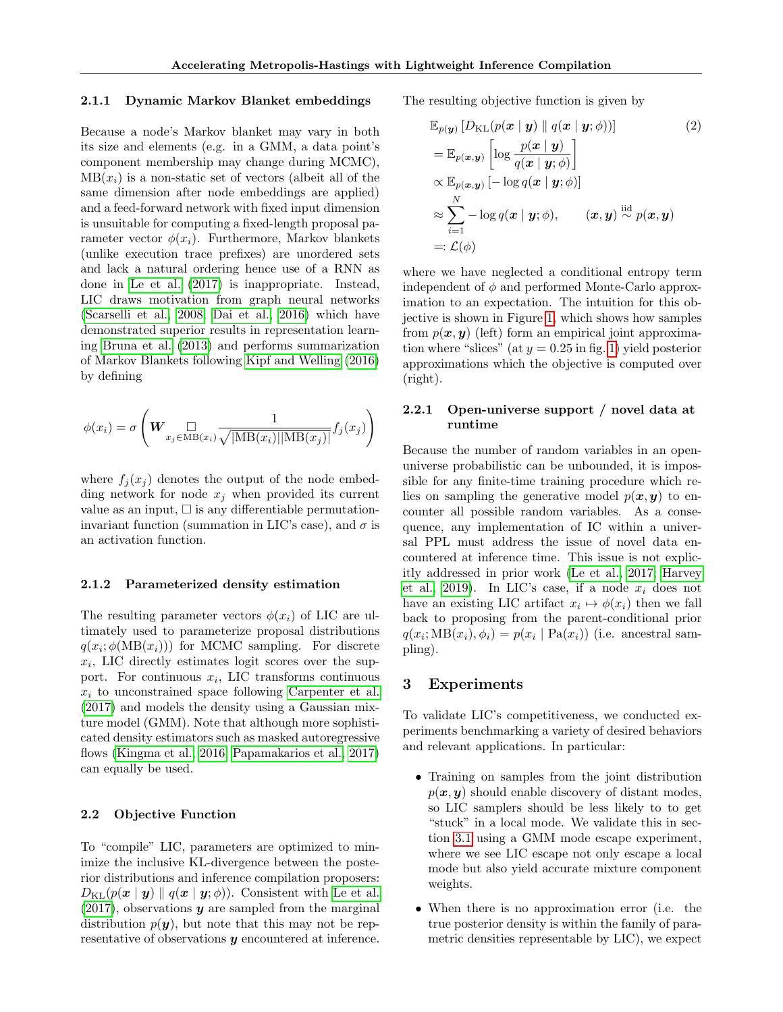#### <span id="page-3-0"></span>2.1.1 Dynamic Markov Blanket embeddings

Because a node's Markov blanket may vary in both its size and elements (e.g. in a GMM, a data point's component membership may change during MCMC),  $MB(x<sub>i</sub>)$  is a non-static set of vectors (albeit all of the same dimension after node embeddings are applied) and a feed-forward network with fixed input dimension is unsuitable for computing a fixed-length proposal parameter vector  $\phi(x_i)$ . Furthermore, Markov blankets (unlike execution trace prefixes) are unordered sets and lack a natural ordering hence use of a RNN as done in [Le et al.](#page-8-3) [\(2017\)](#page-8-3) is inappropriate. Instead, LIC draws motivation from graph neural networks [\(Scarselli et al., 2008;](#page-9-8) [Dai et al., 2016\)](#page-8-15) which have demonstrated superior results in representation learning [Bruna et al.](#page-8-16) [\(2013\)](#page-8-16) and performs summarization of Markov Blankets following [Kipf and Welling](#page-8-17) [\(2016\)](#page-8-17) by defining

$$
\phi(x_i) = \sigma \left( \mathbf{W}_{x_j \in \mathrm{MB}(x_i)} \frac{1}{\sqrt{|\mathrm{MB}(x_i)| |\mathrm{MB}(x_j)|}} f_j(x_j) \right)
$$

where  $f_i(x_i)$  denotes the output of the node embedding network for node  $x_i$  when provided its current value as an input,  $\square$  is any differentiable permutationinvariant function (summation in LIC's case), and  $\sigma$  is an activation function.

## 2.1.2 Parameterized density estimation

The resulting parameter vectors  $\phi(x_i)$  of LIC are ultimately used to parameterize proposal distributions  $q(x_i; \phi(MB(x_i)))$  for MCMC sampling. For discrete  $x_i$ , LIC directly estimates logit scores over the support. For continuous  $x_i$ , LIC transforms continuous  $x_i$  to unconstrained space following [Carpenter et al.](#page-8-18) [\(2017\)](#page-8-18) and models the density using a Gaussian mixture model (GMM). Note that although more sophisticated density estimators such as masked autoregressive flows [\(Kingma et al., 2016;](#page-8-19) [Papamakarios et al., 2017\)](#page-8-20) can equally be used.

#### 2.2 Objective Function

To "compile" LIC, parameters are optimized to minimize the inclusive KL-divergence between the posterior distributions and inference compilation proposers:  $D_{\text{KL}}(p(\boldsymbol{x} \mid \boldsymbol{y}) \parallel q(\boldsymbol{x} \mid \boldsymbol{y}; \phi))$ . Consistent with [Le et al.](#page-8-3)  $(2017)$ , observations **y** are sampled from the marginal distribution  $p(\mathbf{y})$ , but note that this may not be representative of observations y encountered at inference. The resulting objective function is given by

<span id="page-3-1"></span>
$$
\mathbb{E}_{p(\mathbf{y})} [D_{\mathrm{KL}}(p(\mathbf{x} \mid \mathbf{y}) \parallel q(\mathbf{x} \mid \mathbf{y}; \phi))]
$$
(2)  
\n
$$
= \mathbb{E}_{p(\mathbf{x}, \mathbf{y})} \left[ \log \frac{p(\mathbf{x} \mid \mathbf{y})}{q(\mathbf{x} \mid \mathbf{y}; \phi)} \right]
$$
  
\n
$$
\propto \mathbb{E}_{p(\mathbf{x}, \mathbf{y})} [-\log q(\mathbf{x} \mid \mathbf{y}; \phi)]
$$
  
\n
$$
\approx \sum_{i=1}^{N} -\log q(\mathbf{x} \mid \mathbf{y}; \phi), \qquad (\mathbf{x}, \mathbf{y}) \stackrel{\text{iid}}{\sim} p(\mathbf{x}, \mathbf{y})
$$
  
\n
$$
=:\mathcal{L}(\phi)
$$

where we have neglected a conditional entropy term independent of  $\phi$  and performed Monte-Carlo approximation to an expectation. The intuition for this objective is shown in Figure [1,](#page-1-1) which shows how samples from  $p(x, y)$  (left) form an empirical joint approximation where "slices" (at  $y = 0.25$  in fig. [1\)](#page-1-1) yield posterior approximations which the objective is computed over (right).

## 2.2.1 Open-universe support / novel data at runtime

Because the number of random variables in an openuniverse probabilistic can be unbounded, it is impossible for any finite-time training procedure which relies on sampling the generative model  $p(x, y)$  to encounter all possible random variables. As a consequence, any implementation of IC within a universal PPL must address the issue of novel data encountered at inference time. This issue is not explicitly addressed in prior work [\(Le et al., 2017;](#page-8-3) [Harvey](#page-8-13) [et al., 2019\)](#page-8-13). In LIC's case, if a node  $x_i$  does not have an existing LIC artifact  $x_i \mapsto \phi(x_i)$  then we fall back to proposing from the parent-conditional prior  $q(x_i; \text{MB}(x_i), \phi_i) = p(x_i \mid \text{Pa}(x_i))$  (i.e. ancestral sampling).

#### 3 Experiments

To validate LIC's competitiveness, we conducted experiments benchmarking a variety of desired behaviors and relevant applications. In particular:

- Training on samples from the joint distribution  $p(x, y)$  should enable discovery of distant modes, so LIC samplers should be less likely to to get "stuck" in a local mode. We validate this in section [3.1](#page-4-1) using a GMM mode escape experiment, where we see LIC escape not only escape a local mode but also yield accurate mixture component weights.
- When there is no approximation error (i.e. the true posterior density is within the family of parametric densities representable by LIC), we expect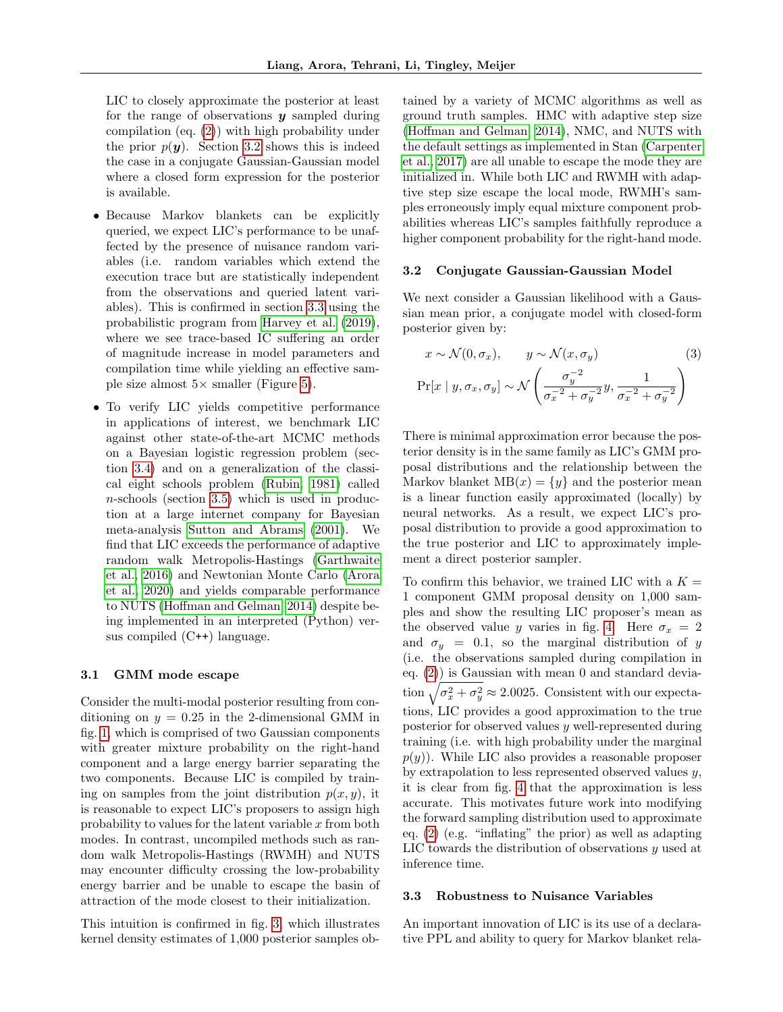LIC to closely approximate the posterior at least for the range of observations  $y$  sampled during compilation (eq. [\(2\)](#page-3-1)) with high probability under the prior  $p(y)$ . Section [3.2](#page-4-2) shows this is indeed the case in a conjugate Gaussian-Gaussian model where a closed form expression for the posterior is available.

- Because Markov blankets can be explicitly queried, we expect LIC's performance to be unaffected by the presence of nuisance random variables (i.e. random variables which extend the execution trace but are statistically independent from the observations and queried latent variables). This is confirmed in section [3.3](#page-4-3) using the probabilistic program from [Harvey et al.](#page-8-13) [\(2019\)](#page-8-13), where we see trace-based IC suffering an order of magnitude increase in model parameters and compilation time while yielding an effective sample size almost  $5\times$  smaller (Figure [5\)](#page-6-0).
- To verify LIC yields competitive performance in applications of interest, we benchmark LIC against other state-of-the-art MCMC methods on a Bayesian logistic regression problem (section [3.4\)](#page-6-1) and on a generalization of the classical eight schools problem [\(Rubin, 1981\)](#page-9-9) called  $n$ -schools (section [3.5\)](#page-6-2) which is used in production at a large internet company for Bayesian meta-analysis [Sutton and Abrams](#page-9-10) [\(2001\)](#page-9-10). We find that LIC exceeds the performance of adaptive random walk Metropolis-Hastings [\(Garthwaite](#page-8-21) [et al., 2016\)](#page-8-21) and Newtonian Monte Carlo [\(Arora](#page-8-22) [et al., 2020\)](#page-8-22) and yields comparable performance to NUTS [\(Hoffman and Gelman, 2014\)](#page-8-23) despite being implemented in an interpreted (Python) versus compiled (C++) language.

## <span id="page-4-1"></span>3.1 GMM mode escape

Consider the multi-modal posterior resulting from conditioning on  $y = 0.25$  in the 2-dimensional GMM in fig. [1,](#page-1-1) which is comprised of two Gaussian components with greater mixture probability on the right-hand component and a large energy barrier separating the two components. Because LIC is compiled by training on samples from the joint distribution  $p(x, y)$ , it is reasonable to expect LIC's proposers to assign high probability to values for the latent variable  $x$  from both modes. In contrast, uncompiled methods such as random walk Metropolis-Hastings (RWMH) and NUTS may encounter difficulty crossing the low-probability energy barrier and be unable to escape the basin of attraction of the mode closest to their initialization.

This intuition is confirmed in fig. [3,](#page-5-0) which illustrates kernel density estimates of 1,000 posterior samples ob-

tained by a variety of MCMC algorithms as well as ground truth samples. HMC with adaptive step size [\(Hoffman and Gelman, 2014\)](#page-8-23), NMC, and NUTS with the default settings as implemented in Stan [\(Carpenter](#page-8-18) [et al., 2017\)](#page-8-18) are all unable to escape the mode they are initialized in. While both LIC and RWMH with adaptive step size escape the local mode, RWMH's samples erroneously imply equal mixture component probabilities whereas LIC's samples faithfully reproduce a higher component probability for the right-hand mode.

#### <span id="page-4-2"></span>3.2 Conjugate Gaussian-Gaussian Model

We next consider a Gaussian likelihood with a Gaussian mean prior, a conjugate model with closed-form posterior given by:

<span id="page-4-0"></span>
$$
x \sim \mathcal{N}(0, \sigma_x), \qquad y \sim \mathcal{N}(x, \sigma_y)
$$
(3)  
Pr[x | y, \sigma\_x, \sigma\_y] \sim \mathcal{N}\left(\frac{\sigma\_y^{-2}}{\sigma\_x^{-2} + \sigma\_y^{-2}}y, \frac{1}{\sigma\_x^{-2} + \sigma\_y^{-2}}\right)

There is minimal approximation error because the posterior density is in the same family as LIC's GMM proposal distributions and the relationship between the Markov blanket  $MB(x) = \{y\}$  and the posterior mean is a linear function easily approximated (locally) by neural networks. As a result, we expect LIC's proposal distribution to provide a good approximation to the true posterior and LIC to approximately implement a direct posterior sampler.

To confirm this behavior, we trained LIC with a  $K =$ 1 component GMM proposal density on 1,000 samples and show the resulting LIC proposer's mean as the observed value y varies in fig. [4.](#page-5-1) Here  $\sigma_x = 2$ and  $\sigma_y = 0.1$ , so the marginal distribution of y (i.e. the observations sampled during compilation in eq. [\(2\)](#page-3-1)) is Gaussian with mean 0 and standard deviation  $\sqrt{\sigma_x^2 + \sigma_y^2} \approx 2.0025$ . Consistent with our expectations, LIC provides a good approximation to the true posterior for observed values y well-represented during training (i.e. with high probability under the marginal  $p(y)$ ). While LIC also provides a reasonable proposer by extrapolation to less represented observed values  $y$ , it is clear from fig. [4](#page-5-1) that the approximation is less accurate. This motivates future work into modifying the forward sampling distribution used to approximate eq. [\(2\)](#page-3-1) (e.g. "inflating" the prior) as well as adapting LIC towards the distribution of observations  $y$  used at inference time.

#### <span id="page-4-3"></span>3.3 Robustness to Nuisance Variables

An important innovation of LIC is its use of a declarative PPL and ability to query for Markov blanket rela-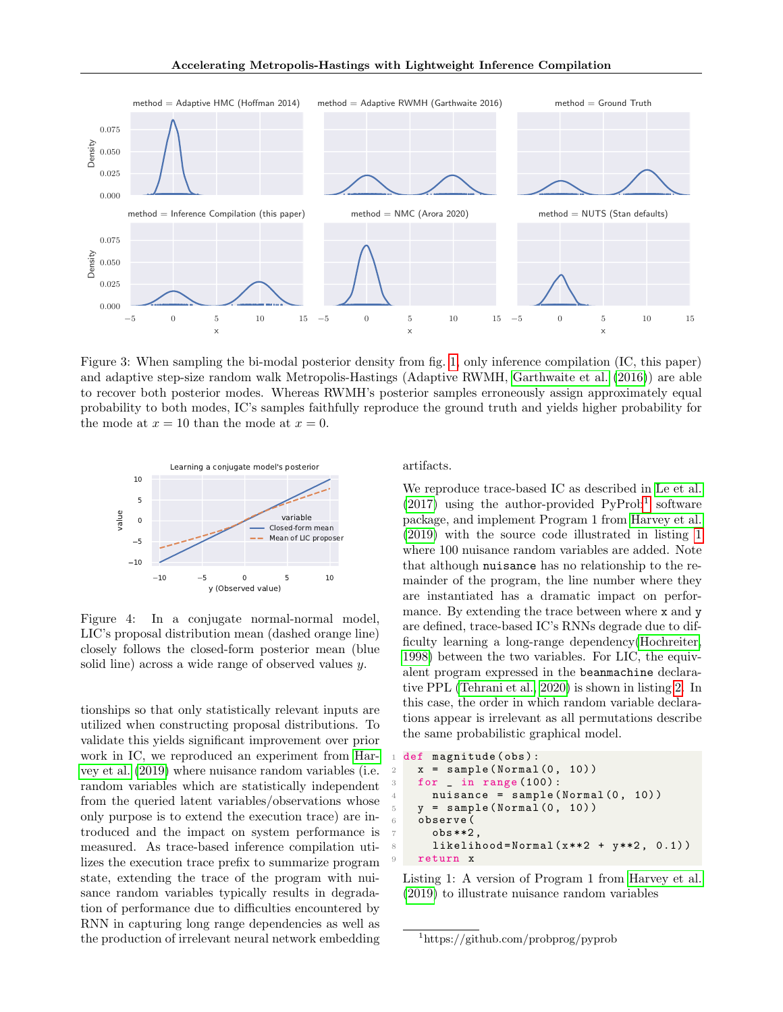<span id="page-5-0"></span>

Figure 3: When sampling the bi-modal posterior density from fig. [1,](#page-1-1) only inference compilation (IC, this paper) and adaptive step-size random walk Metropolis-Hastings (Adaptive RWMH, [Garthwaite et al.](#page-8-21) [\(2016\)](#page-8-21)) are able to recover both posterior modes. Whereas RWMH's posterior samples erroneously assign approximately equal probability to both modes, IC's samples faithfully reproduce the ground truth and yields higher probability for the mode at  $x = 10$  than the mode at  $x = 0$ .

<span id="page-5-1"></span>

Figure 4: In a conjugate normal-normal model, LIC's proposal distribution mean (dashed orange line) closely follows the closed-form posterior mean (blue solid line) across a wide range of observed values y.

tionships so that only statistically relevant inputs are utilized when constructing proposal distributions. To validate this yields significant improvement over prior work in IC, we reproduced an experiment from [Har](#page-8-13)[vey et al.](#page-8-13) [\(2019\)](#page-8-13) where nuisance random variables (i.e. random variables which are statistically independent from the queried latent variables/observations whose only purpose is to extend the execution trace) are introduced and the impact on system performance is measured. As trace-based inference compilation utilizes the execution trace prefix to summarize program state, extending the trace of the program with nuisance random variables typically results in degradation of performance due to difficulties encountered by RNN in capturing long range dependencies as well as the production of irrelevant neural network embedding artifacts.

We reproduce trace-based IC as described in [Le et al.](#page-8-3)  $(2017)$  using the author-provided PyProb<sup>[1](#page-5-2)</sup> software package, and implement Program 1 from [Harvey et al.](#page-8-13) [\(2019\)](#page-8-13) with the source code illustrated in listing [1](#page-5-3) where 100 nuisance random variables are added. Note that although nuisance has no relationship to the remainder of the program, the line number where they are instantiated has a dramatic impact on performance. By extending the trace between where x and y are defined, trace-based IC's RNNs degrade due to difficulty learning a long-range dependency[\(Hochreiter,](#page-8-14) [1998\)](#page-8-14) between the two variables. For LIC, the equivalent program expressed in the beanmachine declarative PPL [\(Tehrani et al., 2020\)](#page-9-2) is shown in listing [2.](#page-6-3) In this case, the order in which random variable declarations appear is irrelevant as all permutations describe the same probabilistic graphical model.

```
def magnitude (obs):
  x = sample(Normal(0, 10))for \_ in \ range(100):nuisance = sample(Normal (0, 10))y = sample(Normal(0, 10))6 observe (
    obs**2likelihood = Normal(x**2 + y**2, 0.1)return x
```
Listing 1: A version of Program 1 from [Harvey et al.](#page-8-13) [\(2019\)](#page-8-13) to illustrate nuisance random variables

<span id="page-5-2"></span><sup>1</sup>https://github.com/probprog/pyprob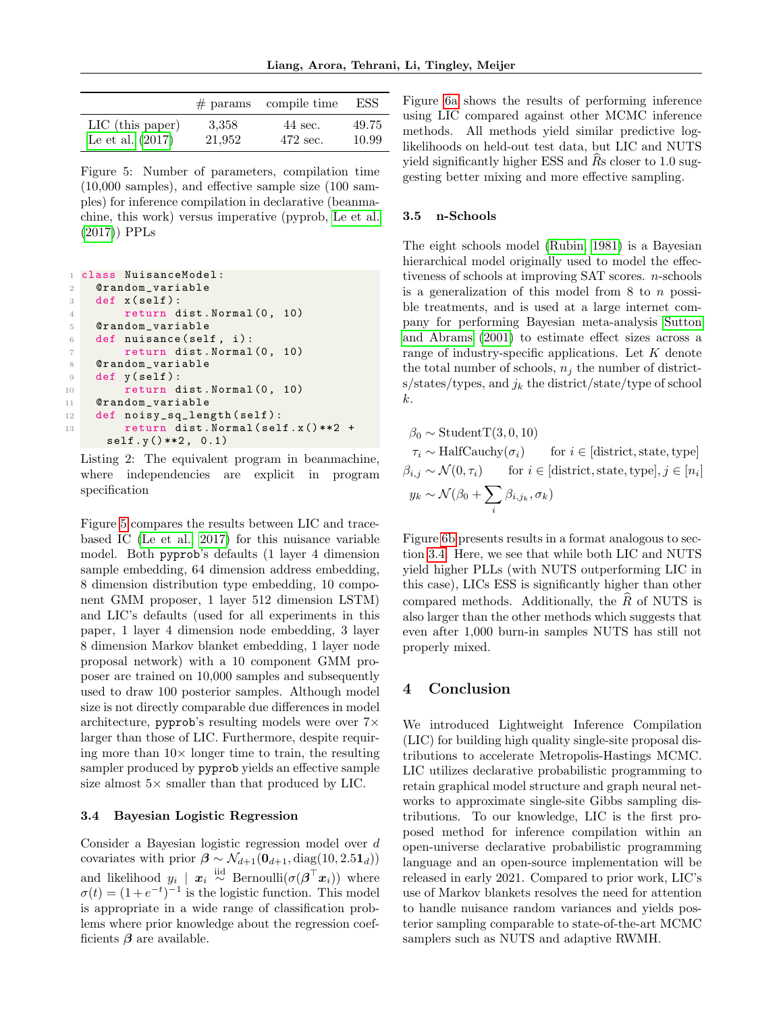<span id="page-6-0"></span>

|                    |        | $#$ params compile time | ESS   |
|--------------------|--------|-------------------------|-------|
| $LIC$ (this paper) | 3.358  | 44 sec.                 | 49.75 |
| Le et al. $(2017)$ | 21,952 | 472 sec.                | 10.99 |

Figure 5: Number of parameters, compilation time (10,000 samples), and effective sample size (100 samples) for inference compilation in declarative (beanmachine, this work) versus imperative (pyprob, [Le et al.](#page-8-3) [\(2017\)](#page-8-3)) PPLs

```
1 class NuisanceModel :
2 @random_variable
3 def x (self):
4 return dist. Normal (0, 10)
5 @random_variable
6 def nuisance (self, i):
7 return dist. Normal (0, 10)8 @random_variable
9 def y (self):
10 return dist. Normal (0, 10)
11 @random_variable
12 def noisy_sq_length (self):
13 return dist. Normal (self.x() ** 2 +
     self.y()**2, 0.1)
```
Listing 2: The equivalent program in beanmachine, where independencies are explicit in program specification

Figure [5](#page-6-0) compares the results between LIC and tracebased IC [\(Le et al., 2017\)](#page-8-3) for this nuisance variable model. Both pyprob's defaults (1 layer 4 dimension sample embedding, 64 dimension address embedding, 8 dimension distribution type embedding, 10 component GMM proposer, 1 layer 512 dimension LSTM) and LIC's defaults (used for all experiments in this paper, 1 layer 4 dimension node embedding, 3 layer 8 dimension Markov blanket embedding, 1 layer node proposal network) with a 10 component GMM proposer are trained on 10,000 samples and subsequently used to draw 100 posterior samples. Although model size is not directly comparable due differences in model architecture, pyprob's resulting models were over 7× larger than those of LIC. Furthermore, despite requiring more than  $10\times$  longer time to train, the resulting sampler produced by pyprob yields an effective sample size almost  $5\times$  smaller than that produced by LIC.

## <span id="page-6-1"></span>3.4 Bayesian Logistic Regression

Consider a Bayesian logistic regression model over d covariates with prior  $\beta \sim \mathcal{N}_{d+1}(\mathbf{0}_{d+1}, \text{diag}(10, 2.5\mathbf{1}_d))$ and likelihood  $y_i \mid x_i \stackrel{\text{iid}}{\sim} \text{Bernoulli}(\sigma(\boldsymbol{\beta}^\top x_i))$  where  $\sigma(t) = (1 + e^{-t})^{-1}$  is the logistic function. This model is appropriate in a wide range of classification problems where prior knowledge about the regression coefficients  $\beta$  are available.

Figure [6a](#page-7-0) shows the results of performing inference using LIC compared against other MCMC inference methods. All methods yield similar predictive loglikelihoods on held-out test data, but LIC and NUTS yield significantly higher ESS and  $Rs$  closer to 1.0 suggesting better mixing and more effective sampling.

## <span id="page-6-2"></span>3.5 n-Schools

The eight schools model [\(Rubin, 1981\)](#page-9-9) is a Bayesian hierarchical model originally used to model the effectiveness of schools at improving SAT scores. n-schools is a generalization of this model from  $8$  to  $n$  possible treatments, and is used at a large internet company for performing Bayesian meta-analysis [Sutton](#page-9-10) [and Abrams](#page-9-10) [\(2001\)](#page-9-10) to estimate effect sizes across a range of industry-specific applications. Let  $K$  denote the total number of schools,  $n_i$  the number of districts/states/types, and  $j_k$  the district/state/type of school k.

 $\beta_0 \sim \text{StudentT}(3, 0, 10)$  $\tau_i \sim \text{HalfCauchy}(\sigma_i)$  for  $i \in \text{[distinct, state, type]}$  $\beta_{i,j} \sim \mathcal{N}(0, \tau_i)$  for  $i \in [\text{distinct}, \text{state}, \text{type}], j \in [n_i]$  $y_k \sim \mathcal{N}(\beta_0 + \sum$ i  $\beta_{i,j_k},\sigma_k)$ 

Figure [6b](#page-7-0) presents results in a format analogous to section [3.4.](#page-6-1) Here, we see that while both LIC and NUTS yield higher PLLs (with NUTS outperforming LIC in this case), LICs ESS is significantly higher than other compared methods. Additionally, the  $\hat{R}$  of NUTS is also larger than the other methods which suggests that even after 1,000 burn-in samples NUTS has still not properly mixed.

# 4 Conclusion

We introduced Lightweight Inference Compilation (LIC) for building high quality single-site proposal distributions to accelerate Metropolis-Hastings MCMC. LIC utilizes declarative probabilistic programming to retain graphical model structure and graph neural networks to approximate single-site Gibbs sampling distributions. To our knowledge, LIC is the first proposed method for inference compilation within an open-universe declarative probabilistic programming language and an open-source implementation will be released in early 2021. Compared to prior work, LIC's use of Markov blankets resolves the need for attention to handle nuisance random variances and yields posterior sampling comparable to state-of-the-art MCMC samplers such as NUTS and adaptive RWMH.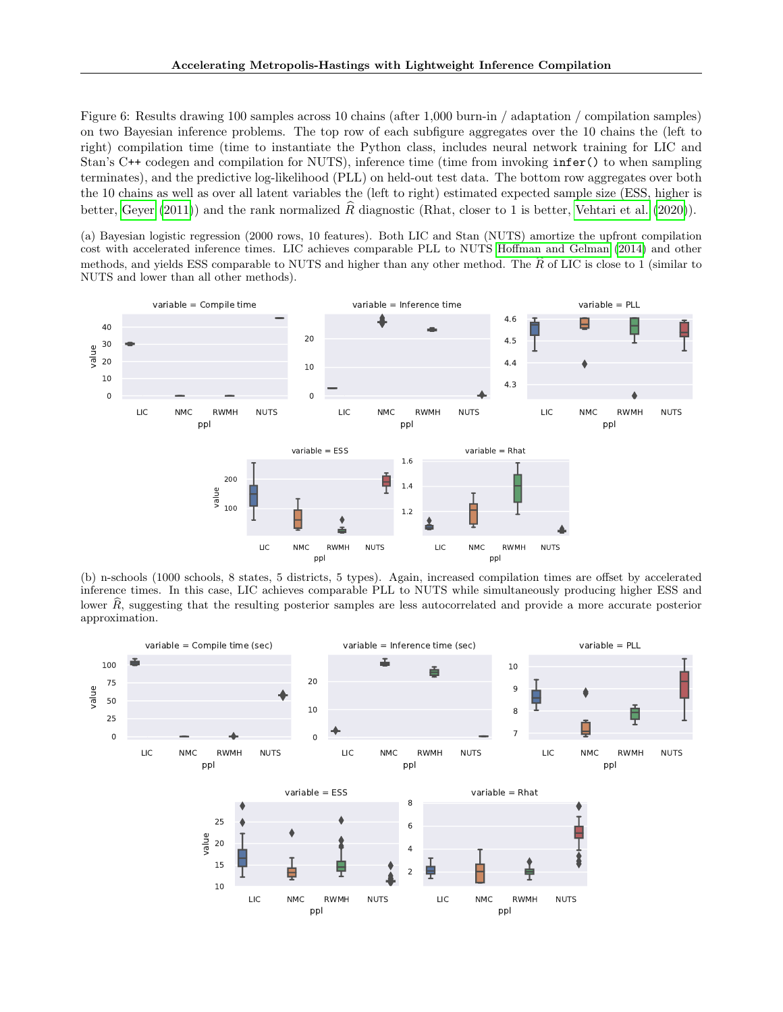<span id="page-7-0"></span>Figure 6: Results drawing 100 samples across 10 chains (after 1,000 burn-in / adaptation / compilation samples) on two Bayesian inference problems. The top row of each subfigure aggregates over the 10 chains the (left to right) compilation time (time to instantiate the Python class, includes neural network training for LIC and Stan's C++ codegen and compilation for NUTS), inference time (time from invoking infer() to when sampling terminates), and the predictive log-likelihood (PLL) on held-out test data. The bottom row aggregates over both the 10 chains as well as over all latent variables the (left to right) estimated expected sample size (ESS, higher is better, [Geyer](#page-8-24) [\(2011\)](#page-8-24)) and the rank normalized  $\hat{R}$  diagnostic (Rhat, closer to 1 is better, [Vehtari et al.](#page-9-11) [\(2020\)](#page-9-11)).

(a) Bayesian logistic regression (2000 rows, 10 features). Both LIC and Stan (NUTS) amortize the upfront compilation cost with accelerated inference times. LIC achieves comparable PLL to NUTS [Hoffman and Gelman](#page-8-23) [\(2014\)](#page-8-23) and other methods, and yields ESS comparable to NUTS and higher than any other method. The  $\hat{R}$  of LIC is close to 1 (similar to NUTS and lower than all other methods).



(b) n-schools (1000 schools, 8 states, 5 districts, 5 types). Again, increased compilation times are offset by accelerated inference times. In this case, LIC achieves comparable PLL to NUTS while simultaneously producing higher ESS and lower  $\hat{R}$ , suggesting that the resulting posterior samples are less autocorrelated and provide a more accurate posterior approximation.

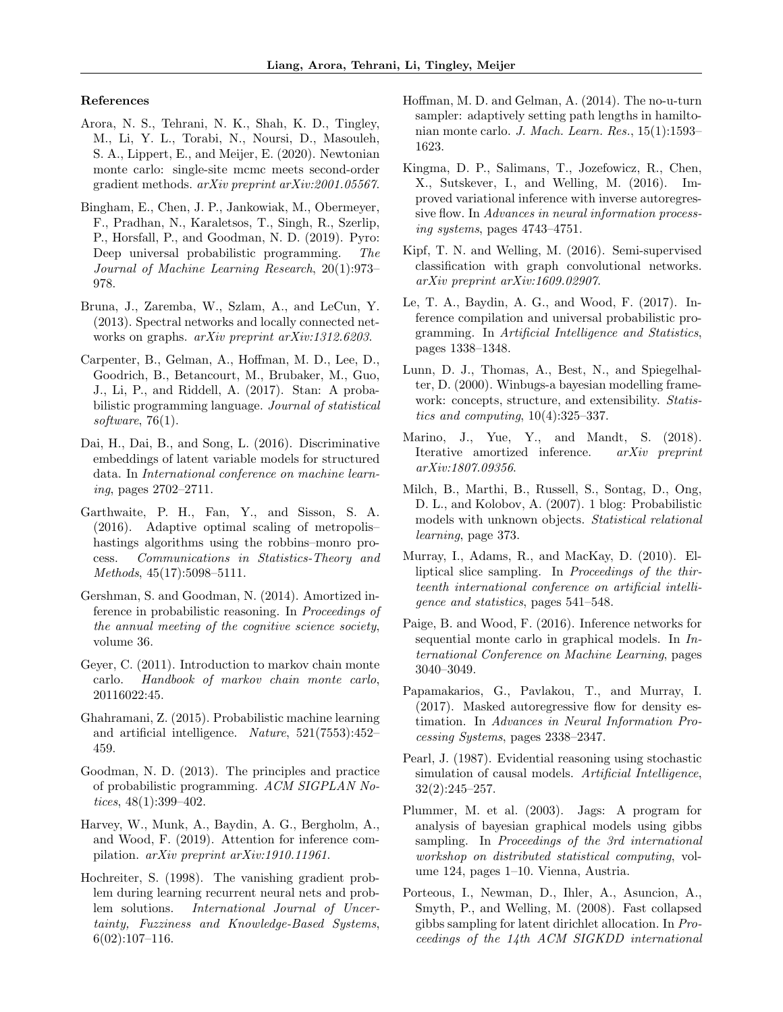#### References

- <span id="page-8-22"></span>Arora, N. S., Tehrani, N. K., Shah, K. D., Tingley, M., Li, Y. L., Torabi, N., Noursi, D., Masouleh, S. A., Lippert, E., and Meijer, E. (2020). Newtonian monte carlo: single-site mcmc meets second-order gradient methods. arXiv preprint arXiv:2001.05567.
- <span id="page-8-2"></span>Bingham, E., Chen, J. P., Jankowiak, M., Obermeyer, F., Pradhan, N., Karaletsos, T., Singh, R., Szerlip, P., Horsfall, P., and Goodman, N. D. (2019). Pyro: Deep universal probabilistic programming. The Journal of Machine Learning Research, 20(1):973– 978.
- <span id="page-8-16"></span>Bruna, J., Zaremba, W., Szlam, A., and LeCun, Y. (2013). Spectral networks and locally connected networks on graphs. arXiv preprint arXiv:1312.6203.
- <span id="page-8-18"></span>Carpenter, B., Gelman, A., Hoffman, M. D., Lee, D., Goodrich, B., Betancourt, M., Brubaker, M., Guo, J., Li, P., and Riddell, A. (2017). Stan: A probabilistic programming language. Journal of statistical software,  $76(1)$ .
- <span id="page-8-15"></span>Dai, H., Dai, B., and Song, L. (2016). Discriminative embeddings of latent variable models for structured data. In International conference on machine learning, pages 2702–2711.
- <span id="page-8-21"></span>Garthwaite, P. H., Fan, Y., and Sisson, S. A. (2016). Adaptive optimal scaling of metropolis– hastings algorithms using the robbins–monro process. Communications in Statistics-Theory and Methods, 45(17):5098–5111.
- <span id="page-8-10"></span>Gershman, S. and Goodman, N. (2014). Amortized inference in probabilistic reasoning. In Proceedings of the annual meeting of the cognitive science society, volume 36.
- <span id="page-8-24"></span>Geyer, C. (2011). Introduction to markov chain monte carlo. Handbook of markov chain monte carlo, 20116022:45.
- <span id="page-8-5"></span>Ghahramani, Z. (2015). Probabilistic machine learning and artificial intelligence. Nature, 521(7553):452– 459.
- <span id="page-8-4"></span>Goodman, N. D. (2013). The principles and practice of probabilistic programming. ACM SIGPLAN Notices, 48(1):399–402.
- <span id="page-8-13"></span>Harvey, W., Munk, A., Baydin, A. G., Bergholm, A., and Wood, F. (2019). Attention for inference compilation. arXiv preprint arXiv:1910.11961.
- <span id="page-8-14"></span>Hochreiter, S. (1998). The vanishing gradient problem during learning recurrent neural nets and problem solutions. International Journal of Uncertainty, Fuzziness and Knowledge-Based Systems,  $6(02):107-116.$
- <span id="page-8-23"></span>Hoffman, M. D. and Gelman, A. (2014). The no-u-turn sampler: adaptively setting path lengths in hamiltonian monte carlo. J. Mach. Learn. Res., 15(1):1593– 1623.
- <span id="page-8-19"></span>Kingma, D. P., Salimans, T., Jozefowicz, R., Chen, X., Sutskever, I., and Welling, M. (2016). Improved variational inference with inverse autoregressive flow. In Advances in neural information processing systems, pages 4743–4751.
- <span id="page-8-17"></span>Kipf, T. N. and Welling, M. (2016). Semi-supervised classification with graph convolutional networks. arXiv preprint arXiv:1609.02907.
- <span id="page-8-3"></span>Le, T. A., Baydin, A. G., and Wood, F. (2017). Inference compilation and universal probabilistic programming. In Artificial Intelligence and Statistics, pages 1338–1348.
- <span id="page-8-6"></span>Lunn, D. J., Thomas, A., Best, N., and Spiegelhalter, D. (2000). Winbugs-a bayesian modelling framework: concepts, structure, and extensibility. *Statis*tics and computing, 10(4):325–337.
- <span id="page-8-11"></span>Marino, J., Yue, Y., and Mandt, S. (2018). Iterative amortized inference. arXiv preprint arXiv:1807.09356.
- <span id="page-8-8"></span>Milch, B., Marthi, B., Russell, S., Sontag, D., Ong, D. L., and Kolobov, A. (2007). 1 blog: Probabilistic models with unknown objects. Statistical relational learning, page 373.
- <span id="page-8-1"></span>Murray, I., Adams, R., and MacKay, D. (2010). Elliptical slice sampling. In Proceedings of the thirteenth international conference on artificial intelligence and statistics, pages 541–548.
- <span id="page-8-12"></span>Paige, B. and Wood, F. (2016). Inference networks for sequential monte carlo in graphical models. In International Conference on Machine Learning, pages 3040–3049.
- <span id="page-8-20"></span>Papamakarios, G., Pavlakou, T., and Murray, I. (2017). Masked autoregressive flow for density estimation. In Advances in Neural Information Processing Systems, pages 2338–2347.
- <span id="page-8-9"></span>Pearl, J. (1987). Evidential reasoning using stochastic simulation of causal models. Artificial Intelligence, 32(2):245–257.
- <span id="page-8-7"></span>Plummer, M. et al. (2003). Jags: A program for analysis of bayesian graphical models using gibbs sampling. In Proceedings of the 3rd international workshop on distributed statistical computing, volume 124, pages 1–10. Vienna, Austria.
- <span id="page-8-0"></span>Porteous, I., Newman, D., Ihler, A., Asuncion, A., Smyth, P., and Welling, M. (2008). Fast collapsed gibbs sampling for latent dirichlet allocation. In Proceedings of the 14th ACM SIGKDD international